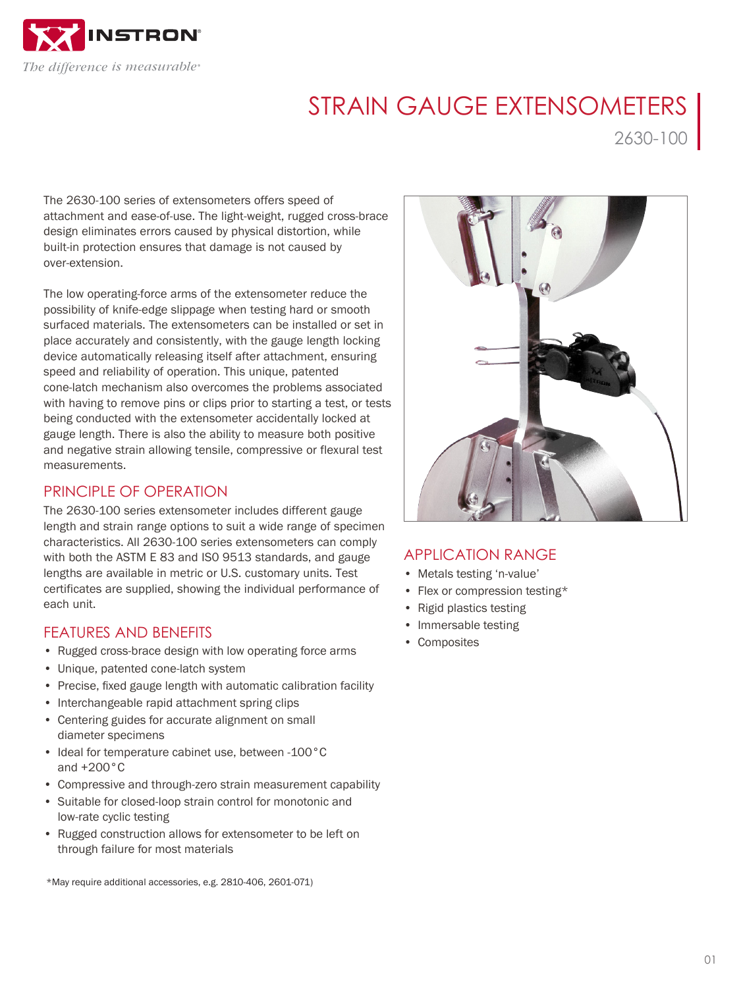

# STRAIN GAUGE EXTENSOMETERS

2630-100

The 2630-100 series of extensometers offers speed of attachment and ease-of-use. The light-weight, rugged cross-brace design eliminates errors caused by physical distortion, while built-in protection ensures that damage is not caused by over-extension.

The low operating-force arms of the extensometer reduce the possibility of knife-edge slippage when testing hard or smooth surfaced materials. The extensometers can be installed or set in place accurately and consistently, with the gauge length locking device automatically releasing itself after attachment, ensuring speed and reliability of operation. This unique, patented cone-latch mechanism also overcomes the problems associated with having to remove pins or clips prior to starting a test, or tests being conducted with the extensometer accidentally locked at gauge length. There is also the ability to measure both positive and negative strain allowing tensile, compressive or flexural test measurements.

## PRINCIPLE OF OPERATION

The 2630-100 series extensometer includes different gauge length and strain range options to suit a wide range of specimen characteristics. All 2630-100 series extensometers can comply with both the ASTM E 83 and IS0 9513 standards, and gauge lengths are available in metric or U.S. customary units. Test certificates are supplied, showing the individual performance of each unit.

## FEATURES AND BENEFITS

- Rugged cross-brace design with low operating force arms
- Unique, patented cone-latch system
- Precise, fixed gauge length with automatic calibration facility
- Interchangeable rapid attachment spring clips
- Centering guides for accurate alignment on small diameter specimens
- Ideal for temperature cabinet use, between -100°C and +200°C
- Compressive and through-zero strain measurement capability
- Suitable for closed-loop strain control for monotonic and low-rate cyclic testing
- Rugged construction allows for extensometer to be left on through failure for most materials

\*May require additional accessories, e.g. 2810-406, 2601-071)



## APPLICATION RANGE

- Metals testing 'n-value'
- Flex or compression testing\*
- Rigid plastics testing
- Immersable testing
- Composites